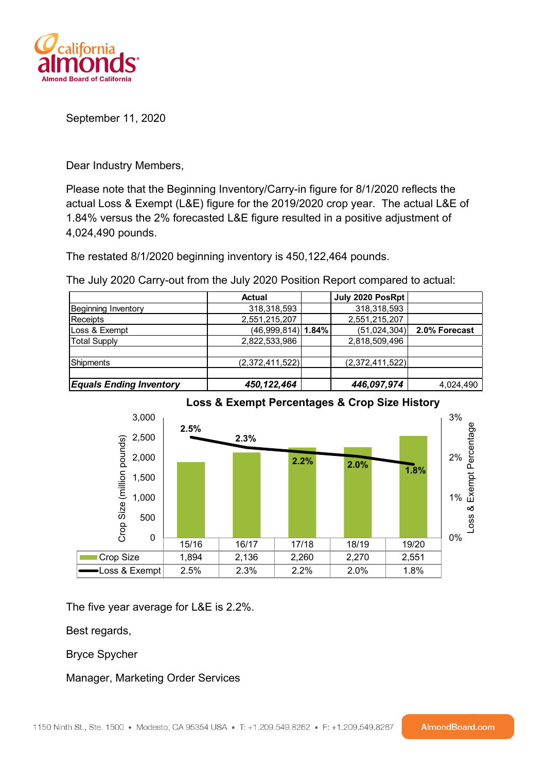

September 11, 2020

Dear Industry Members,

Please note that the Beginning Inventory/Carry-in figure for 8/1/2020 reflects the actual Loss & Exempt (L&E) figure for the 2019/2020 crop year. The actual L&E of 1.84% versus the 2% forecasted L&E figure resulted in a positive adjustment of 4,024,490 pounds.

The restated 8/1/2020 beginning inventory is 450,122,464 pounds.

The July 2020 Carry-out from the July 2020 Position Report compared to actual:

|                                | <b>Actual</b>        | July 2020 PosRpt |               |
|--------------------------------|----------------------|------------------|---------------|
| <b>Beginning Inventory</b>     | 318,318,593          | 318,318,593      |               |
| Receipts                       | 2,551,215,207        | 2,551,215,207    |               |
| Loss & Exempt                  | $(46,999,814)$ 1.84% | (51,024,304)     | 2.0% Forecast |
| Total Supply                   | 2,822,533,986        | 2,818,509,496    |               |
|                                |                      |                  |               |
| Shipments                      | (2,372,411,522)      | (2,372,411,522)  |               |
|                                |                      |                  |               |
| <b>Equals Ending Inventory</b> | 450,122,464          | 446,097,974      | 4,024,490     |



The five year average for L&E is 2.2%.

Best regards,

Bryce Spycher

Manager, Marketing Order Services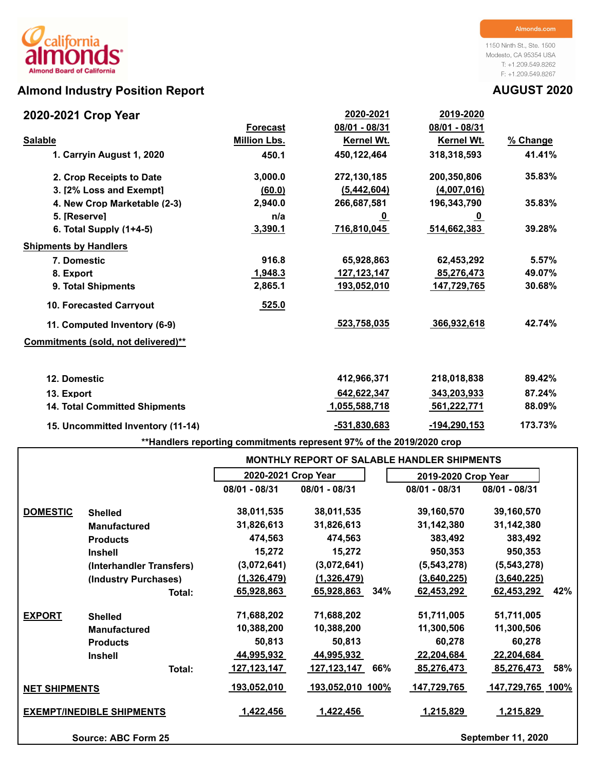# **Almond Industry Position Report AUGUST 2020**

## **2020-2021 Crop Year**

1150 Ninth St., Ste. 1500 Modesto, CA 95354 USA T: +1.209.549.8262 F: +1.209.549.8267

| 2020-2021 Crop Year                  |                     | 2020-2021      | 2019-2020        |          |
|--------------------------------------|---------------------|----------------|------------------|----------|
|                                      | <b>Forecast</b>     | 08/01 - 08/31  | 08/01 - 08/31    |          |
| <b>Salable</b>                       | <b>Million Lbs.</b> | Kernel Wt.     | Kernel Wt.       | % Change |
| 1. Carryin August 1, 2020            | 450.1               | 450,122,464    | 318,318,593      | 41.41%   |
| 2. Crop Receipts to Date             | 3,000.0             | 272,130,185    | 200,350,806      | 35.83%   |
| 3. I2% Loss and Exempt1              | (60.0)              | (5,442,604)    | (4,007,016)      |          |
| 4. New Crop Marketable (2-3)         | 2,940.0             | 266,687,581    | 196,343,790      | 35.83%   |
| 5. [Reserve]                         | n/a                 | <u>_0</u>      | <u>_0</u>        |          |
| 6. Total Supply $(1+4-5)$            | 3,390.1             | 716,810,045    | 514,662,383      | 39.28%   |
| <b>Shipments by Handlers</b>         |                     |                |                  |          |
| 7. Domestic                          | 916.8               | 65,928,863     | 62,453,292       | 5.57%    |
| 8. Export                            | 1,948.3             | 127, 123, 147  | 85,276,473       | 49.07%   |
| 9. Total Shipments                   | 2,865.1             | 193,052,010    | 147,729,765      | 30.68%   |
| <b>10. Forecasted Carryout</b>       | 525.0               |                |                  |          |
| 11. Computed Inventory (6-9)         |                     | 523,758,035    | 366,932,618      | 42.74%   |
| Commitments (sold, not delivered)**  |                     |                |                  |          |
| 12. Domestic                         |                     | 412,966,371    | 218,018,838      | 89.42%   |
| 13. Export                           |                     | 642,622,347    | 343,203,933      | 87.24%   |
| <b>14. Total Committed Shipments</b> |                     | 1,055,588,718  | 561,222,771      | 88.09%   |
| 15. Uncommitted Inventory (11-14)    |                     | $-531,830,683$ | $-194, 290, 153$ | 173.73%  |

**\*\*Handlers reporting commitments represent 97% of the 2019/2020 crop**

|                      |                                  |                     | <b>MONTHLY REPORT OF SALABLE HANDLER SHIPMENTS</b> |     |                     |                           |     |
|----------------------|----------------------------------|---------------------|----------------------------------------------------|-----|---------------------|---------------------------|-----|
|                      |                                  | 2020-2021 Crop Year |                                                    |     | 2019-2020 Crop Year |                           |     |
|                      |                                  | 08/01 - 08/31       | 08/01 - 08/31                                      |     | 08/01 - 08/31       | 08/01 - 08/31             |     |
| <b>DOMESTIC</b>      | <b>Shelled</b>                   | 38,011,535          | 38,011,535                                         |     | 39,160,570          | 39,160,570                |     |
|                      | <b>Manufactured</b>              | 31,826,613          | 31,826,613                                         |     | 31,142,380          | 31,142,380                |     |
|                      | <b>Products</b>                  | 474,563             | 474,563                                            |     | 383,492             | 383,492                   |     |
|                      | <b>Inshell</b>                   | 15,272              | 15,272                                             |     | 950,353             | 950,353                   |     |
|                      | (Interhandler Transfers)         | (3,072,641)         | (3,072,641)                                        |     | (5, 543, 278)       | (5, 543, 278)             |     |
|                      | (Industry Purchases)             | (1,326,479)         | (1,326,479)                                        |     | (3,640,225)         | (3,640,225)               |     |
|                      | Total:                           | 65,928,863          | 65,928,863                                         | 34% | 62,453,292          | 62,453,292                | 42% |
| <b>EXPORT</b>        | <b>Shelled</b>                   | 71,688,202          | 71,688,202                                         |     | 51,711,005          | 51,711,005                |     |
|                      | <b>Manufactured</b>              | 10,388,200          | 10,388,200                                         |     | 11,300,506          | 11,300,506                |     |
|                      | <b>Products</b>                  | 50,813              | 50,813                                             |     | 60,278              | 60,278                    |     |
|                      | <b>Inshell</b>                   | 44,995,932          | 44,995,932                                         |     | 22,204,684          | 22,204,684                |     |
|                      | Total:                           | 127,123,147         | 127, 123, 147                                      | 66% | 85,276,473          | 85,276,473                | 58% |
| <b>NET SHIPMENTS</b> |                                  | <u>193,052,010</u>  | <u>193,052,010 100%</u>                            |     | <u>147,729,765</u>  | <u>147,729,765_100%</u>   |     |
|                      | <b>EXEMPT/INEDIBLE SHIPMENTS</b> | 1,422,456           | 1,422,456                                          |     | 1,215,829           | 1,215,829                 |     |
|                      | Source: ABC Form 25              |                     |                                                    |     |                     | <b>September 11, 2020</b> |     |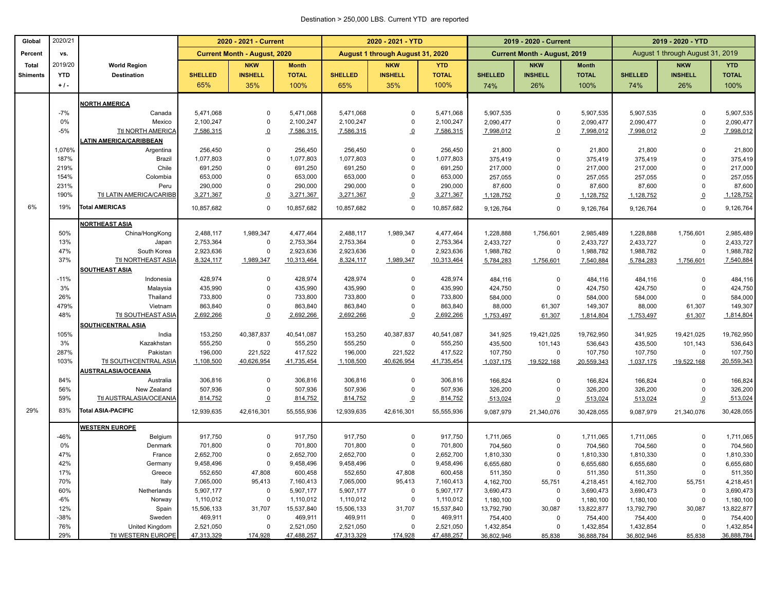### Destination > 250,000 LBS. Current YTD are reported

| August 1 through August 31, 2019<br>Percent<br><b>Current Month - August, 2020</b><br>August 1 through August 31, 2020<br><b>Current Month - August, 2019</b><br>VS.<br>2019/20<br><b>Total</b><br><b>World Region</b><br><b>NKW</b><br><b>Month</b><br><b>NKW</b><br><b>YTD</b><br><b>NKW</b><br><b>Month</b><br><b>NKW</b><br><b>YTD</b><br><b>YTD</b><br><b>INSHELL</b><br><b>TOTAL</b><br><b>INSHELL</b><br><b>TOTAL</b><br><b>TOTAL</b><br><b>INSHELL</b><br><b>TOTAL</b><br><b>Destination</b><br><b>SHELLED</b><br><b>SHELLED</b><br><b>SHELLED</b><br><b>INSHELL</b><br><b>SHELLED</b><br><b>Shiments</b><br>$+1$ .<br>65%<br>35%<br>100%<br>65%<br>35%<br>100%<br>26%<br>100%<br>26%<br>100%<br>74%<br>74%<br><b>NORTH AMERICA</b><br>$-7%$<br>5,471,068<br>5,471,068<br>5,471,068<br>5,471,068<br>5,907,535<br>5,907,535<br>5,907,535<br>Canada<br>$\mathbf 0$<br>$\Omega$<br>$\mathbf 0$<br>$\Omega$<br>0%<br>2,100,247<br>2,100,247<br>2,100,247<br>2,100,247<br>$\pmb{0}$<br>$\Omega$<br>2,090,477<br>$\mathbf 0$<br>2,090,477<br>$\mathbf 0$<br>2,090,477<br>Mexico<br>2,090,477<br><b>Ttl NORTH AMERICA</b><br>7,586,315<br>$-5%$<br>7,586,315<br>$\overline{0}$<br>7,586,315<br>7,586,315<br>$\mathbf 0$<br>7,998,012<br>7,998,012<br>7,998,012<br>$\overline{0}$<br>$\overline{0}$<br><b>ATIN AMERICA/CARIBBEAN</b><br>$\mathbf 0$<br>1,076%<br>Argentina<br>256,450<br>256,450<br>256,450<br>$\Omega$<br>256,450<br>21,800<br>$\mathbf 0$<br>21,800<br>21,800<br>$\mathbf 0$<br>187%<br><b>Brazil</b><br>1,077,803<br>$\mathbf 0$<br>1,077,803<br>1,077,803<br>$\Omega$<br>1,077,803<br>375,419<br>$\mathbf 0$<br>375,419<br>375,419<br>$\mathbf 0$<br>219%<br>Chile<br>691,250<br>$\mathbf 0$<br>691,250<br>691,250<br>691,250<br>217,000<br>$\mathbf 0$<br>217,000<br>217,000<br>$\mathbf 0$<br>$\Omega$<br>154%<br>653,000<br>$\mathbf 0$<br>653,000<br>653,000<br>653,000<br>Colombia<br>$\Omega$<br>257,055<br>$\mathbf 0$<br>257,055<br>257,055<br>$\Omega$<br>231%<br>290,000<br>290,000<br>290,000<br>290,000<br>Peru<br>$\mathbf 0$<br>$\Omega$<br>87,600<br>$\mathbf 0$<br>87,600<br>87,600<br>$\mathbf 0$<br>190%<br>Ttl LATIN AMERICA/CARIBB<br>3,271,367<br>$\overline{0}$<br>3,271,367<br>3,271,367<br>3,271,367<br>$\overline{0}$<br>1,128,752<br>$\overline{0}$<br>1,128,752<br>1,128,752<br>$\overline{0}$<br>6%<br>19%<br><b>Total AMERICAS</b><br>10,857,682<br>$\mathbf 0$<br>10,857,682<br>10,857,682<br>$\mathbf 0$<br>10,857,682<br>$\mathbf 0$<br>9,126,764<br>$\mathbf 0$<br>9,126,764<br>9,126,764<br>9,126,764<br><b>NORTHEAST ASIA</b><br>1,989,347<br>4,477,464<br>1,989,347<br>50%<br>China/HongKong<br>2,488,117<br>2,488,117<br>4,477,464<br>1,228,888<br>1,756,601<br>2,985,489<br>1,228,888<br>1,756,601<br>13%<br>2,753,364<br>2,753,364<br>$\mathbf 0$<br>2,753,364<br>$\mathsf 0$<br>2,753,364<br>2,433,727<br>$\mathsf 0$<br>2,433,727<br>2,433,727<br>$\mathbf 0$<br>2,433,727<br>Japan<br>47%<br>2,923,636<br>$\mathbf 0$<br>2,923,636<br>2,923,636<br>$\Omega$<br>2,923,636<br>1,988,782<br>$\mathbf 0$<br>1,988,782<br>$\mathbf 0$<br>South Korea<br>1,988,782<br>Ttl NORTHEAST ASIA<br>37%<br>8,324,117<br>1,989,347<br>10,313,464<br>8,324,117<br>1,989,347<br>10,313,464<br>5,784,283<br>1,756,601<br>7,540,884<br>5,784,283<br>1,756,601<br><b>SOUTHEAST ASIA</b><br>$-11%$<br>428,974<br>$\mathbf 0$<br>428,974<br>428,974<br>$\Omega$<br>428,974<br>484,116<br>Indonesia<br>$\mathbf 0$<br>484,116<br>484,116<br>$\mathbf 0$<br>3%<br>Malaysia<br>435,990<br>$\mathbf 0$<br>435,990<br>435,990<br>$\Omega$<br>435,990<br>$\mathbf 0$<br>424,750<br>$\mathbf 0$<br>424,750<br>424,750<br>$\overline{0}$<br>$\mathbf 0$<br>26%<br>733,800<br>733,800<br>733,800<br>733,800<br>584,000<br>584,000<br>584,000<br>$\mathbf 0$<br>Thailand<br>$\Omega$<br>$\mathbf 0$<br>863,840<br>479%<br>Vietnam<br>863,840<br>863,840<br>$\Omega$<br>863,840<br>88,000<br>61,307<br>149,307<br>61,307<br>88,000<br><b>Ttl SOUTHEAST ASIA</b><br>48%<br>2,692,266<br>$\Omega$<br>2,692,266<br>2,692,266<br>$\overline{0}$<br>2,692,266<br>61,307<br>1,753,497<br>61,307<br>1,814,804<br>1,753,497<br>SOUTH/CENTRAL ASIA<br>40,387,837<br>40,387,837<br>105%<br>153,250<br>40,541,087<br>153,250<br>40,541,087<br>India<br>341,925<br>19,421,025<br>19,762,950<br>341,925<br>19,421,025<br>3%<br>555,250<br>$\pmb{0}$<br>555,250<br>555,250<br>$\mathbf 0$<br>555,250<br>Kazakhstan<br>435,500<br>101,143<br>536,643<br>435,500<br>101,143<br>196,000<br>417,522<br>196,000<br>221,522<br>417,522<br>107,750<br>287%<br>Pakistan<br>221,522<br>$\mathbf 0$<br>107,750<br>107,750<br>$\mathbf 0$<br>103%<br>Ttl SOUTH/CENTRAL ASIA<br>1,108,500<br>40,626,954<br>41,735,454<br>1,108,500<br>40,626,954<br>41,735,454<br>19,522,168<br>20,559,343<br>19,522,168<br>1,037,175<br>1,037,175<br><b>AUSTRALASIA/OCEANIA</b><br>84%<br>306,816<br>$\mathbf 0$<br>306,816<br>306,816<br>306,816<br>166,824<br>166,824<br>$\mathbf 0$<br>Australia<br>0<br>0<br>166,824<br>56%<br>New Zealand<br>507,936<br>$\mathbf 0$<br>507,936<br>507,936<br>$\Omega$<br>507,936<br>326,200<br>$\mathbf 0$<br>326,200<br>326,200<br>$\mathbf 0$<br><b>Ttl AUSTRALASIA/OCEANIA</b><br>59%<br>814,752<br>$\overline{0}$<br>814,752<br>814,752<br>$\Omega$<br>814,752<br>513,024<br>513,024<br>$\Omega$<br>513,024<br>$\overline{0}$<br>29%<br>83%<br><b>Total ASIA-PACIFIC</b><br>12,939,635<br>42,616,301<br>55,555,936<br>12,939,635<br>42,616,301<br>55,555,936<br>9,087,979<br>21,340,076<br>30,428,055<br>9,087,979<br>21,340,076<br><b>WESTERN EUROPE</b><br>917,750<br>917,750<br>917,750<br>917,750<br>-46%<br>Belgium<br>$\mathbf 0$<br>$\Omega$<br>1,711,065<br>$\Omega$<br>1,711,065<br>1,711,065<br>$\mathbf 0$<br>0%<br>701,800<br>$\mathbf 0$<br>701,800<br>701,800<br>701,800<br>704,560<br>Denmark<br>$\Omega$<br>$\mathbf 0$<br>704,560<br>704,560<br>$\mathbf 0$<br>47%<br>2,652,700<br>$\mathbf 0$<br>2,652,700<br>2,652,700<br>$\mathsf 0$<br>2,652,700<br>France<br>1,810,330<br>$\mathbf 0$<br>$\mathbf 0$<br>1,810,330<br>1,810,330<br>42%<br>9,458,496<br>$\mathbf 0$<br>9,458,496<br>9,458,496<br>$\mathsf 0$<br>9,458,496<br>6,655,680<br>$\mathbf 0$<br>6,655,680<br>$\mathbf 0$<br>Germany<br>6,655,680<br>17%<br>552,650<br>47,808<br>600,458<br>552,650<br>47,808<br>600,458<br>$\mathbf 0$<br>$\mathbf 0$<br>Greece<br>511,350<br>511,350<br>511,350<br>70%<br>7,065,000<br>95,413<br>7,160,413<br>7,065,000<br>95,413<br>7,160,413<br>Italy<br>4,162,700<br>55,751<br>4,162,700<br>55,751<br>4,218,451<br>4,218,451<br>60%<br>5,907,177<br>$\mathbf 0$<br>5,907,177<br>5,907,177<br>$\mathbf 0$<br>5,907,177<br>3,690,473<br>$\mathbf 0$<br>3,690,473<br>3,690,473<br>$\mathbf 0$<br>Netherlands<br>$\mathbf 0$<br>$-6%$<br>Norway<br>1,110,012<br>1,110,012<br>1,110,012<br>$\mathbf 0$<br>1,110,012<br>$\mathsf 0$<br>$\pmb{0}$<br>1,180,100<br>1,180,100<br>1,180,100<br>12%<br>15,506,133<br>31,707<br>15,537,840<br>15,506,133<br>31,707<br>15,537,840<br>13,792,790<br>30,087<br>13,792,790<br>30,087<br>13,822,877<br>Spain<br>13,822,877<br>$-38%$<br>Sweden<br>469,911<br>$\mathbf 0$<br>469,911<br>469,911<br>$\Omega$<br>469,911<br>754,400<br>$\Omega$<br>754,400<br>754,400<br>$\mathbf 0$<br>76%<br>United Kingdom<br>2,521,050<br>0<br>2,521,050<br>2,521,050<br>$\Omega$<br>2,521,050<br>1,432,854<br>$\mathbf 0$<br>1,432,854<br>1,432,854<br>$\overline{0}$ | Global | 2020/21 |                    |            | 2020 - 2021 - Current |            |            | 2020 - 2021 - YTD |            |            | 2019 - 2020 - Current |            | 2019 - 2020 - YTD |        |            |
|--------------------------------------------------------------------------------------------------------------------------------------------------------------------------------------------------------------------------------------------------------------------------------------------------------------------------------------------------------------------------------------------------------------------------------------------------------------------------------------------------------------------------------------------------------------------------------------------------------------------------------------------------------------------------------------------------------------------------------------------------------------------------------------------------------------------------------------------------------------------------------------------------------------------------------------------------------------------------------------------------------------------------------------------------------------------------------------------------------------------------------------------------------------------------------------------------------------------------------------------------------------------------------------------------------------------------------------------------------------------------------------------------------------------------------------------------------------------------------------------------------------------------------------------------------------------------------------------------------------------------------------------------------------------------------------------------------------------------------------------------------------------------------------------------------------------------------------------------------------------------------------------------------------------------------------------------------------------------------------------------------------------------------------------------------------------------------------------------------------------------------------------------------------------------------------------------------------------------------------------------------------------------------------------------------------------------------------------------------------------------------------------------------------------------------------------------------------------------------------------------------------------------------------------------------------------------------------------------------------------------------------------------------------------------------------------------------------------------------------------------------------------------------------------------------------------------------------------------------------------------------------------------------------------------------------------------------------------------------------------------------------------------------------------------------------------------------------------------------------------------------------------------------------------------------------------------------------------------------------------------------------------------------------------------------------------------------------------------------------------------------------------------------------------------------------------------------------------------------------------------------------------------------------------------------------------------------------------------------------------------------------------------------------------------------------------------------------------------------------------------------------------------------------------------------------------------------------------------------------------------------------------------------------------------------------------------------------------------------------------------------------------------------------------------------------------------------------------------------------------------------------------------------------------------------------------------------------------------------------------------------------------------------------------------------------------------------------------------------------------------------------------------------------------------------------------------------------------------------------------------------------------------------------------------------------------------------------------------------------------------------------------------------------------------------------------------------------------------------------------------------------------------------------------------------------------------------------------------------------------------------------------------------------------------------------------------------------------------------------------------------------------------------------------------------------------------------------------------------------------------------------------------------------------------------------------------------------------------------------------------------------------------------------------------------------------------------------------------------------------------------------------------------------------------------------------------------------------------------------------------------------------------------------------------------------------------------------------------------------------------------------------------------------------------------------------------------------------------------------------------------------------------------------------------------------------------------------------------------------------------------------------------------------------------------------------------------------------------------------------------------------------------------------------------------------------------------------------------------------------------------------------------------------------------------------------------------------------------------------------------------------------------------------------------------------------------------------------------------------------------------------------------------------------------------------------------------------------------------------------------------------------------------------------------------------------------------------------------------------------------------------------------------------------------------------------------------------------------------------------------------------------------------------------------------------------------------------------------------------------------------------------------------------------------------------------------------------------------------------------------------------------------------------------------------------------------------------------------------------------------------------------------------------------------------------------------------------------------------------------------------------------------------------------------------------------------------------------------------------------------------------------------------------------------------------|--------|---------|--------------------|------------|-----------------------|------------|------------|-------------------|------------|------------|-----------------------|------------|-------------------|--------|------------|
| 257,055<br>87,600<br>1,128,752<br>1,988,782<br>7,540,884<br>484,116<br>424,750<br>584,000<br>149,307<br>1,814,804<br>19,762,950<br>536,643<br>107,750<br>20,559,343<br>166,824<br>3,690,473<br>1,180,100<br>754,400<br>1,432,854                                                                                                                                                                                                                                                                                                                                                                                                                                                                                                                                                                                                                                                                                                                                                                                                                                                                                                                                                                                                                                                                                                                                                                                                                                                                                                                                                                                                                                                                                                                                                                                                                                                                                                                                                                                                                                                                                                                                                                                                                                                                                                                                                                                                                                                                                                                                                                                                                                                                                                                                                                                                                                                                                                                                                                                                                                                                                                                                                                                                                                                                                                                                                                                                                                                                                                                                                                                                                                                                                                                                                                                                                                                                                                                                                                                                                                                                                                                                                                                                                                                                                                                                                                                                                                                                                                                                                                                                                                                                                                                                                                                                                                                                                                                                                                                                                                                                                                                                                                                                                                                                                                                                                                                                                                                                                                                                                                                                                                                                                                                                                                                                                                                                                                                                                                                                                                                                                                                                                                                                                                                                                                                                                                                                                                                                                                                                                                                                                                                                                                                                                                                                                                                                                                                                                                                                                                                                                                                                                                                                                                                                                                                                                                                                     |        |         |                    |            |                       |            |            |                   |            |            |                       |            |                   |        |            |
|                                                                                                                                                                                                                                                                                                                                                                                                                                                                                                                                                                                                                                                                                                                                                                                                                                                                                                                                                                                                                                                                                                                                                                                                                                                                                                                                                                                                                                                                                                                                                                                                                                                                                                                                                                                                                                                                                                                                                                                                                                                                                                                                                                                                                                                                                                                                                                                                                                                                                                                                                                                                                                                                                                                                                                                                                                                                                                                                                                                                                                                                                                                                                                                                                                                                                                                                                                                                                                                                                                                                                                                                                                                                                                                                                                                                                                                                                                                                                                                                                                                                                                                                                                                                                                                                                                                                                                                                                                                                                                                                                                                                                                                                                                                                                                                                                                                                                                                                                                                                                                                                                                                                                                                                                                                                                                                                                                                                                                                                                                                                                                                                                                                                                                                                                                                                                                                                                                                                                                                                                                                                                                                                                                                                                                                                                                                                                                                                                                                                                                                                                                                                                                                                                                                                                                                                                                                                                                                                                                                                                                                                                                                                                                                                                                                                                                                                                                                                                                      |        |         |                    |            |                       |            |            |                   |            |            |                       |            |                   |        |            |
|                                                                                                                                                                                                                                                                                                                                                                                                                                                                                                                                                                                                                                                                                                                                                                                                                                                                                                                                                                                                                                                                                                                                                                                                                                                                                                                                                                                                                                                                                                                                                                                                                                                                                                                                                                                                                                                                                                                                                                                                                                                                                                                                                                                                                                                                                                                                                                                                                                                                                                                                                                                                                                                                                                                                                                                                                                                                                                                                                                                                                                                                                                                                                                                                                                                                                                                                                                                                                                                                                                                                                                                                                                                                                                                                                                                                                                                                                                                                                                                                                                                                                                                                                                                                                                                                                                                                                                                                                                                                                                                                                                                                                                                                                                                                                                                                                                                                                                                                                                                                                                                                                                                                                                                                                                                                                                                                                                                                                                                                                                                                                                                                                                                                                                                                                                                                                                                                                                                                                                                                                                                                                                                                                                                                                                                                                                                                                                                                                                                                                                                                                                                                                                                                                                                                                                                                                                                                                                                                                                                                                                                                                                                                                                                                                                                                                                                                                                                                                                      |        |         |                    |            |                       |            |            |                   |            |            |                       |            |                   |        |            |
|                                                                                                                                                                                                                                                                                                                                                                                                                                                                                                                                                                                                                                                                                                                                                                                                                                                                                                                                                                                                                                                                                                                                                                                                                                                                                                                                                                                                                                                                                                                                                                                                                                                                                                                                                                                                                                                                                                                                                                                                                                                                                                                                                                                                                                                                                                                                                                                                                                                                                                                                                                                                                                                                                                                                                                                                                                                                                                                                                                                                                                                                                                                                                                                                                                                                                                                                                                                                                                                                                                                                                                                                                                                                                                                                                                                                                                                                                                                                                                                                                                                                                                                                                                                                                                                                                                                                                                                                                                                                                                                                                                                                                                                                                                                                                                                                                                                                                                                                                                                                                                                                                                                                                                                                                                                                                                                                                                                                                                                                                                                                                                                                                                                                                                                                                                                                                                                                                                                                                                                                                                                                                                                                                                                                                                                                                                                                                                                                                                                                                                                                                                                                                                                                                                                                                                                                                                                                                                                                                                                                                                                                                                                                                                                                                                                                                                                                                                                                                                      |        |         |                    |            |                       |            |            |                   |            |            |                       |            |                   |        |            |
|                                                                                                                                                                                                                                                                                                                                                                                                                                                                                                                                                                                                                                                                                                                                                                                                                                                                                                                                                                                                                                                                                                                                                                                                                                                                                                                                                                                                                                                                                                                                                                                                                                                                                                                                                                                                                                                                                                                                                                                                                                                                                                                                                                                                                                                                                                                                                                                                                                                                                                                                                                                                                                                                                                                                                                                                                                                                                                                                                                                                                                                                                                                                                                                                                                                                                                                                                                                                                                                                                                                                                                                                                                                                                                                                                                                                                                                                                                                                                                                                                                                                                                                                                                                                                                                                                                                                                                                                                                                                                                                                                                                                                                                                                                                                                                                                                                                                                                                                                                                                                                                                                                                                                                                                                                                                                                                                                                                                                                                                                                                                                                                                                                                                                                                                                                                                                                                                                                                                                                                                                                                                                                                                                                                                                                                                                                                                                                                                                                                                                                                                                                                                                                                                                                                                                                                                                                                                                                                                                                                                                                                                                                                                                                                                                                                                                                                                                                                                                                      |        |         |                    |            |                       |            |            |                   |            |            |                       |            |                   |        |            |
|                                                                                                                                                                                                                                                                                                                                                                                                                                                                                                                                                                                                                                                                                                                                                                                                                                                                                                                                                                                                                                                                                                                                                                                                                                                                                                                                                                                                                                                                                                                                                                                                                                                                                                                                                                                                                                                                                                                                                                                                                                                                                                                                                                                                                                                                                                                                                                                                                                                                                                                                                                                                                                                                                                                                                                                                                                                                                                                                                                                                                                                                                                                                                                                                                                                                                                                                                                                                                                                                                                                                                                                                                                                                                                                                                                                                                                                                                                                                                                                                                                                                                                                                                                                                                                                                                                                                                                                                                                                                                                                                                                                                                                                                                                                                                                                                                                                                                                                                                                                                                                                                                                                                                                                                                                                                                                                                                                                                                                                                                                                                                                                                                                                                                                                                                                                                                                                                                                                                                                                                                                                                                                                                                                                                                                                                                                                                                                                                                                                                                                                                                                                                                                                                                                                                                                                                                                                                                                                                                                                                                                                                                                                                                                                                                                                                                                                                                                                                                                      |        |         |                    |            |                       |            |            |                   |            |            |                       |            |                   |        | 5,907,535  |
|                                                                                                                                                                                                                                                                                                                                                                                                                                                                                                                                                                                                                                                                                                                                                                                                                                                                                                                                                                                                                                                                                                                                                                                                                                                                                                                                                                                                                                                                                                                                                                                                                                                                                                                                                                                                                                                                                                                                                                                                                                                                                                                                                                                                                                                                                                                                                                                                                                                                                                                                                                                                                                                                                                                                                                                                                                                                                                                                                                                                                                                                                                                                                                                                                                                                                                                                                                                                                                                                                                                                                                                                                                                                                                                                                                                                                                                                                                                                                                                                                                                                                                                                                                                                                                                                                                                                                                                                                                                                                                                                                                                                                                                                                                                                                                                                                                                                                                                                                                                                                                                                                                                                                                                                                                                                                                                                                                                                                                                                                                                                                                                                                                                                                                                                                                                                                                                                                                                                                                                                                                                                                                                                                                                                                                                                                                                                                                                                                                                                                                                                                                                                                                                                                                                                                                                                                                                                                                                                                                                                                                                                                                                                                                                                                                                                                                                                                                                                                                      |        |         |                    |            |                       |            |            |                   |            |            |                       |            |                   |        |            |
|                                                                                                                                                                                                                                                                                                                                                                                                                                                                                                                                                                                                                                                                                                                                                                                                                                                                                                                                                                                                                                                                                                                                                                                                                                                                                                                                                                                                                                                                                                                                                                                                                                                                                                                                                                                                                                                                                                                                                                                                                                                                                                                                                                                                                                                                                                                                                                                                                                                                                                                                                                                                                                                                                                                                                                                                                                                                                                                                                                                                                                                                                                                                                                                                                                                                                                                                                                                                                                                                                                                                                                                                                                                                                                                                                                                                                                                                                                                                                                                                                                                                                                                                                                                                                                                                                                                                                                                                                                                                                                                                                                                                                                                                                                                                                                                                                                                                                                                                                                                                                                                                                                                                                                                                                                                                                                                                                                                                                                                                                                                                                                                                                                                                                                                                                                                                                                                                                                                                                                                                                                                                                                                                                                                                                                                                                                                                                                                                                                                                                                                                                                                                                                                                                                                                                                                                                                                                                                                                                                                                                                                                                                                                                                                                                                                                                                                                                                                                                                      |        |         |                    |            |                       |            |            |                   |            |            |                       |            |                   |        | 7,998,012  |
|                                                                                                                                                                                                                                                                                                                                                                                                                                                                                                                                                                                                                                                                                                                                                                                                                                                                                                                                                                                                                                                                                                                                                                                                                                                                                                                                                                                                                                                                                                                                                                                                                                                                                                                                                                                                                                                                                                                                                                                                                                                                                                                                                                                                                                                                                                                                                                                                                                                                                                                                                                                                                                                                                                                                                                                                                                                                                                                                                                                                                                                                                                                                                                                                                                                                                                                                                                                                                                                                                                                                                                                                                                                                                                                                                                                                                                                                                                                                                                                                                                                                                                                                                                                                                                                                                                                                                                                                                                                                                                                                                                                                                                                                                                                                                                                                                                                                                                                                                                                                                                                                                                                                                                                                                                                                                                                                                                                                                                                                                                                                                                                                                                                                                                                                                                                                                                                                                                                                                                                                                                                                                                                                                                                                                                                                                                                                                                                                                                                                                                                                                                                                                                                                                                                                                                                                                                                                                                                                                                                                                                                                                                                                                                                                                                                                                                                                                                                                                                      |        |         |                    |            |                       |            |            |                   |            |            |                       |            |                   |        |            |
|                                                                                                                                                                                                                                                                                                                                                                                                                                                                                                                                                                                                                                                                                                                                                                                                                                                                                                                                                                                                                                                                                                                                                                                                                                                                                                                                                                                                                                                                                                                                                                                                                                                                                                                                                                                                                                                                                                                                                                                                                                                                                                                                                                                                                                                                                                                                                                                                                                                                                                                                                                                                                                                                                                                                                                                                                                                                                                                                                                                                                                                                                                                                                                                                                                                                                                                                                                                                                                                                                                                                                                                                                                                                                                                                                                                                                                                                                                                                                                                                                                                                                                                                                                                                                                                                                                                                                                                                                                                                                                                                                                                                                                                                                                                                                                                                                                                                                                                                                                                                                                                                                                                                                                                                                                                                                                                                                                                                                                                                                                                                                                                                                                                                                                                                                                                                                                                                                                                                                                                                                                                                                                                                                                                                                                                                                                                                                                                                                                                                                                                                                                                                                                                                                                                                                                                                                                                                                                                                                                                                                                                                                                                                                                                                                                                                                                                                                                                                                                      |        |         |                    |            |                       |            |            |                   |            |            |                       |            |                   |        | 21,800     |
|                                                                                                                                                                                                                                                                                                                                                                                                                                                                                                                                                                                                                                                                                                                                                                                                                                                                                                                                                                                                                                                                                                                                                                                                                                                                                                                                                                                                                                                                                                                                                                                                                                                                                                                                                                                                                                                                                                                                                                                                                                                                                                                                                                                                                                                                                                                                                                                                                                                                                                                                                                                                                                                                                                                                                                                                                                                                                                                                                                                                                                                                                                                                                                                                                                                                                                                                                                                                                                                                                                                                                                                                                                                                                                                                                                                                                                                                                                                                                                                                                                                                                                                                                                                                                                                                                                                                                                                                                                                                                                                                                                                                                                                                                                                                                                                                                                                                                                                                                                                                                                                                                                                                                                                                                                                                                                                                                                                                                                                                                                                                                                                                                                                                                                                                                                                                                                                                                                                                                                                                                                                                                                                                                                                                                                                                                                                                                                                                                                                                                                                                                                                                                                                                                                                                                                                                                                                                                                                                                                                                                                                                                                                                                                                                                                                                                                                                                                                                                                      |        |         |                    |            |                       |            |            |                   |            |            |                       |            |                   |        | 375,419    |
|                                                                                                                                                                                                                                                                                                                                                                                                                                                                                                                                                                                                                                                                                                                                                                                                                                                                                                                                                                                                                                                                                                                                                                                                                                                                                                                                                                                                                                                                                                                                                                                                                                                                                                                                                                                                                                                                                                                                                                                                                                                                                                                                                                                                                                                                                                                                                                                                                                                                                                                                                                                                                                                                                                                                                                                                                                                                                                                                                                                                                                                                                                                                                                                                                                                                                                                                                                                                                                                                                                                                                                                                                                                                                                                                                                                                                                                                                                                                                                                                                                                                                                                                                                                                                                                                                                                                                                                                                                                                                                                                                                                                                                                                                                                                                                                                                                                                                                                                                                                                                                                                                                                                                                                                                                                                                                                                                                                                                                                                                                                                                                                                                                                                                                                                                                                                                                                                                                                                                                                                                                                                                                                                                                                                                                                                                                                                                                                                                                                                                                                                                                                                                                                                                                                                                                                                                                                                                                                                                                                                                                                                                                                                                                                                                                                                                                                                                                                                                                      |        |         |                    |            |                       |            |            |                   |            |            |                       |            |                   |        | 217,000    |
|                                                                                                                                                                                                                                                                                                                                                                                                                                                                                                                                                                                                                                                                                                                                                                                                                                                                                                                                                                                                                                                                                                                                                                                                                                                                                                                                                                                                                                                                                                                                                                                                                                                                                                                                                                                                                                                                                                                                                                                                                                                                                                                                                                                                                                                                                                                                                                                                                                                                                                                                                                                                                                                                                                                                                                                                                                                                                                                                                                                                                                                                                                                                                                                                                                                                                                                                                                                                                                                                                                                                                                                                                                                                                                                                                                                                                                                                                                                                                                                                                                                                                                                                                                                                                                                                                                                                                                                                                                                                                                                                                                                                                                                                                                                                                                                                                                                                                                                                                                                                                                                                                                                                                                                                                                                                                                                                                                                                                                                                                                                                                                                                                                                                                                                                                                                                                                                                                                                                                                                                                                                                                                                                                                                                                                                                                                                                                                                                                                                                                                                                                                                                                                                                                                                                                                                                                                                                                                                                                                                                                                                                                                                                                                                                                                                                                                                                                                                                                                      |        |         |                    |            |                       |            |            |                   |            |            |                       |            |                   |        |            |
|                                                                                                                                                                                                                                                                                                                                                                                                                                                                                                                                                                                                                                                                                                                                                                                                                                                                                                                                                                                                                                                                                                                                                                                                                                                                                                                                                                                                                                                                                                                                                                                                                                                                                                                                                                                                                                                                                                                                                                                                                                                                                                                                                                                                                                                                                                                                                                                                                                                                                                                                                                                                                                                                                                                                                                                                                                                                                                                                                                                                                                                                                                                                                                                                                                                                                                                                                                                                                                                                                                                                                                                                                                                                                                                                                                                                                                                                                                                                                                                                                                                                                                                                                                                                                                                                                                                                                                                                                                                                                                                                                                                                                                                                                                                                                                                                                                                                                                                                                                                                                                                                                                                                                                                                                                                                                                                                                                                                                                                                                                                                                                                                                                                                                                                                                                                                                                                                                                                                                                                                                                                                                                                                                                                                                                                                                                                                                                                                                                                                                                                                                                                                                                                                                                                                                                                                                                                                                                                                                                                                                                                                                                                                                                                                                                                                                                                                                                                                                                      |        |         |                    |            |                       |            |            |                   |            |            |                       |            |                   |        |            |
|                                                                                                                                                                                                                                                                                                                                                                                                                                                                                                                                                                                                                                                                                                                                                                                                                                                                                                                                                                                                                                                                                                                                                                                                                                                                                                                                                                                                                                                                                                                                                                                                                                                                                                                                                                                                                                                                                                                                                                                                                                                                                                                                                                                                                                                                                                                                                                                                                                                                                                                                                                                                                                                                                                                                                                                                                                                                                                                                                                                                                                                                                                                                                                                                                                                                                                                                                                                                                                                                                                                                                                                                                                                                                                                                                                                                                                                                                                                                                                                                                                                                                                                                                                                                                                                                                                                                                                                                                                                                                                                                                                                                                                                                                                                                                                                                                                                                                                                                                                                                                                                                                                                                                                                                                                                                                                                                                                                                                                                                                                                                                                                                                                                                                                                                                                                                                                                                                                                                                                                                                                                                                                                                                                                                                                                                                                                                                                                                                                                                                                                                                                                                                                                                                                                                                                                                                                                                                                                                                                                                                                                                                                                                                                                                                                                                                                                                                                                                                                      |        |         |                    |            |                       |            |            |                   |            |            |                       |            |                   |        |            |
|                                                                                                                                                                                                                                                                                                                                                                                                                                                                                                                                                                                                                                                                                                                                                                                                                                                                                                                                                                                                                                                                                                                                                                                                                                                                                                                                                                                                                                                                                                                                                                                                                                                                                                                                                                                                                                                                                                                                                                                                                                                                                                                                                                                                                                                                                                                                                                                                                                                                                                                                                                                                                                                                                                                                                                                                                                                                                                                                                                                                                                                                                                                                                                                                                                                                                                                                                                                                                                                                                                                                                                                                                                                                                                                                                                                                                                                                                                                                                                                                                                                                                                                                                                                                                                                                                                                                                                                                                                                                                                                                                                                                                                                                                                                                                                                                                                                                                                                                                                                                                                                                                                                                                                                                                                                                                                                                                                                                                                                                                                                                                                                                                                                                                                                                                                                                                                                                                                                                                                                                                                                                                                                                                                                                                                                                                                                                                                                                                                                                                                                                                                                                                                                                                                                                                                                                                                                                                                                                                                                                                                                                                                                                                                                                                                                                                                                                                                                                                                      |        |         |                    |            |                       |            |            |                   |            |            |                       |            |                   |        |            |
|                                                                                                                                                                                                                                                                                                                                                                                                                                                                                                                                                                                                                                                                                                                                                                                                                                                                                                                                                                                                                                                                                                                                                                                                                                                                                                                                                                                                                                                                                                                                                                                                                                                                                                                                                                                                                                                                                                                                                                                                                                                                                                                                                                                                                                                                                                                                                                                                                                                                                                                                                                                                                                                                                                                                                                                                                                                                                                                                                                                                                                                                                                                                                                                                                                                                                                                                                                                                                                                                                                                                                                                                                                                                                                                                                                                                                                                                                                                                                                                                                                                                                                                                                                                                                                                                                                                                                                                                                                                                                                                                                                                                                                                                                                                                                                                                                                                                                                                                                                                                                                                                                                                                                                                                                                                                                                                                                                                                                                                                                                                                                                                                                                                                                                                                                                                                                                                                                                                                                                                                                                                                                                                                                                                                                                                                                                                                                                                                                                                                                                                                                                                                                                                                                                                                                                                                                                                                                                                                                                                                                                                                                                                                                                                                                                                                                                                                                                                                                                      |        |         |                    |            |                       |            |            |                   |            |            |                       |            |                   |        |            |
|                                                                                                                                                                                                                                                                                                                                                                                                                                                                                                                                                                                                                                                                                                                                                                                                                                                                                                                                                                                                                                                                                                                                                                                                                                                                                                                                                                                                                                                                                                                                                                                                                                                                                                                                                                                                                                                                                                                                                                                                                                                                                                                                                                                                                                                                                                                                                                                                                                                                                                                                                                                                                                                                                                                                                                                                                                                                                                                                                                                                                                                                                                                                                                                                                                                                                                                                                                                                                                                                                                                                                                                                                                                                                                                                                                                                                                                                                                                                                                                                                                                                                                                                                                                                                                                                                                                                                                                                                                                                                                                                                                                                                                                                                                                                                                                                                                                                                                                                                                                                                                                                                                                                                                                                                                                                                                                                                                                                                                                                                                                                                                                                                                                                                                                                                                                                                                                                                                                                                                                                                                                                                                                                                                                                                                                                                                                                                                                                                                                                                                                                                                                                                                                                                                                                                                                                                                                                                                                                                                                                                                                                                                                                                                                                                                                                                                                                                                                                                                      |        |         |                    |            |                       |            |            |                   |            |            |                       |            |                   |        | 2,985,489  |
|                                                                                                                                                                                                                                                                                                                                                                                                                                                                                                                                                                                                                                                                                                                                                                                                                                                                                                                                                                                                                                                                                                                                                                                                                                                                                                                                                                                                                                                                                                                                                                                                                                                                                                                                                                                                                                                                                                                                                                                                                                                                                                                                                                                                                                                                                                                                                                                                                                                                                                                                                                                                                                                                                                                                                                                                                                                                                                                                                                                                                                                                                                                                                                                                                                                                                                                                                                                                                                                                                                                                                                                                                                                                                                                                                                                                                                                                                                                                                                                                                                                                                                                                                                                                                                                                                                                                                                                                                                                                                                                                                                                                                                                                                                                                                                                                                                                                                                                                                                                                                                                                                                                                                                                                                                                                                                                                                                                                                                                                                                                                                                                                                                                                                                                                                                                                                                                                                                                                                                                                                                                                                                                                                                                                                                                                                                                                                                                                                                                                                                                                                                                                                                                                                                                                                                                                                                                                                                                                                                                                                                                                                                                                                                                                                                                                                                                                                                                                                                      |        |         |                    |            |                       |            |            |                   |            |            |                       |            |                   |        |            |
|                                                                                                                                                                                                                                                                                                                                                                                                                                                                                                                                                                                                                                                                                                                                                                                                                                                                                                                                                                                                                                                                                                                                                                                                                                                                                                                                                                                                                                                                                                                                                                                                                                                                                                                                                                                                                                                                                                                                                                                                                                                                                                                                                                                                                                                                                                                                                                                                                                                                                                                                                                                                                                                                                                                                                                                                                                                                                                                                                                                                                                                                                                                                                                                                                                                                                                                                                                                                                                                                                                                                                                                                                                                                                                                                                                                                                                                                                                                                                                                                                                                                                                                                                                                                                                                                                                                                                                                                                                                                                                                                                                                                                                                                                                                                                                                                                                                                                                                                                                                                                                                                                                                                                                                                                                                                                                                                                                                                                                                                                                                                                                                                                                                                                                                                                                                                                                                                                                                                                                                                                                                                                                                                                                                                                                                                                                                                                                                                                                                                                                                                                                                                                                                                                                                                                                                                                                                                                                                                                                                                                                                                                                                                                                                                                                                                                                                                                                                                                                      |        |         |                    |            |                       |            |            |                   |            |            |                       |            |                   |        |            |
|                                                                                                                                                                                                                                                                                                                                                                                                                                                                                                                                                                                                                                                                                                                                                                                                                                                                                                                                                                                                                                                                                                                                                                                                                                                                                                                                                                                                                                                                                                                                                                                                                                                                                                                                                                                                                                                                                                                                                                                                                                                                                                                                                                                                                                                                                                                                                                                                                                                                                                                                                                                                                                                                                                                                                                                                                                                                                                                                                                                                                                                                                                                                                                                                                                                                                                                                                                                                                                                                                                                                                                                                                                                                                                                                                                                                                                                                                                                                                                                                                                                                                                                                                                                                                                                                                                                                                                                                                                                                                                                                                                                                                                                                                                                                                                                                                                                                                                                                                                                                                                                                                                                                                                                                                                                                                                                                                                                                                                                                                                                                                                                                                                                                                                                                                                                                                                                                                                                                                                                                                                                                                                                                                                                                                                                                                                                                                                                                                                                                                                                                                                                                                                                                                                                                                                                                                                                                                                                                                                                                                                                                                                                                                                                                                                                                                                                                                                                                                                      |        |         |                    |            |                       |            |            |                   |            |            |                       |            |                   |        |            |
|                                                                                                                                                                                                                                                                                                                                                                                                                                                                                                                                                                                                                                                                                                                                                                                                                                                                                                                                                                                                                                                                                                                                                                                                                                                                                                                                                                                                                                                                                                                                                                                                                                                                                                                                                                                                                                                                                                                                                                                                                                                                                                                                                                                                                                                                                                                                                                                                                                                                                                                                                                                                                                                                                                                                                                                                                                                                                                                                                                                                                                                                                                                                                                                                                                                                                                                                                                                                                                                                                                                                                                                                                                                                                                                                                                                                                                                                                                                                                                                                                                                                                                                                                                                                                                                                                                                                                                                                                                                                                                                                                                                                                                                                                                                                                                                                                                                                                                                                                                                                                                                                                                                                                                                                                                                                                                                                                                                                                                                                                                                                                                                                                                                                                                                                                                                                                                                                                                                                                                                                                                                                                                                                                                                                                                                                                                                                                                                                                                                                                                                                                                                                                                                                                                                                                                                                                                                                                                                                                                                                                                                                                                                                                                                                                                                                                                                                                                                                                                      |        |         |                    |            |                       |            |            |                   |            |            |                       |            |                   |        |            |
|                                                                                                                                                                                                                                                                                                                                                                                                                                                                                                                                                                                                                                                                                                                                                                                                                                                                                                                                                                                                                                                                                                                                                                                                                                                                                                                                                                                                                                                                                                                                                                                                                                                                                                                                                                                                                                                                                                                                                                                                                                                                                                                                                                                                                                                                                                                                                                                                                                                                                                                                                                                                                                                                                                                                                                                                                                                                                                                                                                                                                                                                                                                                                                                                                                                                                                                                                                                                                                                                                                                                                                                                                                                                                                                                                                                                                                                                                                                                                                                                                                                                                                                                                                                                                                                                                                                                                                                                                                                                                                                                                                                                                                                                                                                                                                                                                                                                                                                                                                                                                                                                                                                                                                                                                                                                                                                                                                                                                                                                                                                                                                                                                                                                                                                                                                                                                                                                                                                                                                                                                                                                                                                                                                                                                                                                                                                                                                                                                                                                                                                                                                                                                                                                                                                                                                                                                                                                                                                                                                                                                                                                                                                                                                                                                                                                                                                                                                                                                                      |        |         |                    |            |                       |            |            |                   |            |            |                       |            |                   |        |            |
|                                                                                                                                                                                                                                                                                                                                                                                                                                                                                                                                                                                                                                                                                                                                                                                                                                                                                                                                                                                                                                                                                                                                                                                                                                                                                                                                                                                                                                                                                                                                                                                                                                                                                                                                                                                                                                                                                                                                                                                                                                                                                                                                                                                                                                                                                                                                                                                                                                                                                                                                                                                                                                                                                                                                                                                                                                                                                                                                                                                                                                                                                                                                                                                                                                                                                                                                                                                                                                                                                                                                                                                                                                                                                                                                                                                                                                                                                                                                                                                                                                                                                                                                                                                                                                                                                                                                                                                                                                                                                                                                                                                                                                                                                                                                                                                                                                                                                                                                                                                                                                                                                                                                                                                                                                                                                                                                                                                                                                                                                                                                                                                                                                                                                                                                                                                                                                                                                                                                                                                                                                                                                                                                                                                                                                                                                                                                                                                                                                                                                                                                                                                                                                                                                                                                                                                                                                                                                                                                                                                                                                                                                                                                                                                                                                                                                                                                                                                                                                      |        |         |                    |            |                       |            |            |                   |            |            |                       |            |                   |        |            |
|                                                                                                                                                                                                                                                                                                                                                                                                                                                                                                                                                                                                                                                                                                                                                                                                                                                                                                                                                                                                                                                                                                                                                                                                                                                                                                                                                                                                                                                                                                                                                                                                                                                                                                                                                                                                                                                                                                                                                                                                                                                                                                                                                                                                                                                                                                                                                                                                                                                                                                                                                                                                                                                                                                                                                                                                                                                                                                                                                                                                                                                                                                                                                                                                                                                                                                                                                                                                                                                                                                                                                                                                                                                                                                                                                                                                                                                                                                                                                                                                                                                                                                                                                                                                                                                                                                                                                                                                                                                                                                                                                                                                                                                                                                                                                                                                                                                                                                                                                                                                                                                                                                                                                                                                                                                                                                                                                                                                                                                                                                                                                                                                                                                                                                                                                                                                                                                                                                                                                                                                                                                                                                                                                                                                                                                                                                                                                                                                                                                                                                                                                                                                                                                                                                                                                                                                                                                                                                                                                                                                                                                                                                                                                                                                                                                                                                                                                                                                                                      |        |         |                    |            |                       |            |            |                   |            |            |                       |            |                   |        |            |
|                                                                                                                                                                                                                                                                                                                                                                                                                                                                                                                                                                                                                                                                                                                                                                                                                                                                                                                                                                                                                                                                                                                                                                                                                                                                                                                                                                                                                                                                                                                                                                                                                                                                                                                                                                                                                                                                                                                                                                                                                                                                                                                                                                                                                                                                                                                                                                                                                                                                                                                                                                                                                                                                                                                                                                                                                                                                                                                                                                                                                                                                                                                                                                                                                                                                                                                                                                                                                                                                                                                                                                                                                                                                                                                                                                                                                                                                                                                                                                                                                                                                                                                                                                                                                                                                                                                                                                                                                                                                                                                                                                                                                                                                                                                                                                                                                                                                                                                                                                                                                                                                                                                                                                                                                                                                                                                                                                                                                                                                                                                                                                                                                                                                                                                                                                                                                                                                                                                                                                                                                                                                                                                                                                                                                                                                                                                                                                                                                                                                                                                                                                                                                                                                                                                                                                                                                                                                                                                                                                                                                                                                                                                                                                                                                                                                                                                                                                                                                                      |        |         |                    |            |                       |            |            |                   |            |            |                       |            |                   |        |            |
|                                                                                                                                                                                                                                                                                                                                                                                                                                                                                                                                                                                                                                                                                                                                                                                                                                                                                                                                                                                                                                                                                                                                                                                                                                                                                                                                                                                                                                                                                                                                                                                                                                                                                                                                                                                                                                                                                                                                                                                                                                                                                                                                                                                                                                                                                                                                                                                                                                                                                                                                                                                                                                                                                                                                                                                                                                                                                                                                                                                                                                                                                                                                                                                                                                                                                                                                                                                                                                                                                                                                                                                                                                                                                                                                                                                                                                                                                                                                                                                                                                                                                                                                                                                                                                                                                                                                                                                                                                                                                                                                                                                                                                                                                                                                                                                                                                                                                                                                                                                                                                                                                                                                                                                                                                                                                                                                                                                                                                                                                                                                                                                                                                                                                                                                                                                                                                                                                                                                                                                                                                                                                                                                                                                                                                                                                                                                                                                                                                                                                                                                                                                                                                                                                                                                                                                                                                                                                                                                                                                                                                                                                                                                                                                                                                                                                                                                                                                                                                      |        |         |                    |            |                       |            |            |                   |            |            |                       |            |                   |        |            |
|                                                                                                                                                                                                                                                                                                                                                                                                                                                                                                                                                                                                                                                                                                                                                                                                                                                                                                                                                                                                                                                                                                                                                                                                                                                                                                                                                                                                                                                                                                                                                                                                                                                                                                                                                                                                                                                                                                                                                                                                                                                                                                                                                                                                                                                                                                                                                                                                                                                                                                                                                                                                                                                                                                                                                                                                                                                                                                                                                                                                                                                                                                                                                                                                                                                                                                                                                                                                                                                                                                                                                                                                                                                                                                                                                                                                                                                                                                                                                                                                                                                                                                                                                                                                                                                                                                                                                                                                                                                                                                                                                                                                                                                                                                                                                                                                                                                                                                                                                                                                                                                                                                                                                                                                                                                                                                                                                                                                                                                                                                                                                                                                                                                                                                                                                                                                                                                                                                                                                                                                                                                                                                                                                                                                                                                                                                                                                                                                                                                                                                                                                                                                                                                                                                                                                                                                                                                                                                                                                                                                                                                                                                                                                                                                                                                                                                                                                                                                                                      |        |         |                    |            |                       |            |            |                   |            |            |                       |            |                   |        |            |
|                                                                                                                                                                                                                                                                                                                                                                                                                                                                                                                                                                                                                                                                                                                                                                                                                                                                                                                                                                                                                                                                                                                                                                                                                                                                                                                                                                                                                                                                                                                                                                                                                                                                                                                                                                                                                                                                                                                                                                                                                                                                                                                                                                                                                                                                                                                                                                                                                                                                                                                                                                                                                                                                                                                                                                                                                                                                                                                                                                                                                                                                                                                                                                                                                                                                                                                                                                                                                                                                                                                                                                                                                                                                                                                                                                                                                                                                                                                                                                                                                                                                                                                                                                                                                                                                                                                                                                                                                                                                                                                                                                                                                                                                                                                                                                                                                                                                                                                                                                                                                                                                                                                                                                                                                                                                                                                                                                                                                                                                                                                                                                                                                                                                                                                                                                                                                                                                                                                                                                                                                                                                                                                                                                                                                                                                                                                                                                                                                                                                                                                                                                                                                                                                                                                                                                                                                                                                                                                                                                                                                                                                                                                                                                                                                                                                                                                                                                                                                                      |        |         |                    |            |                       |            |            |                   |            |            |                       |            |                   |        |            |
|                                                                                                                                                                                                                                                                                                                                                                                                                                                                                                                                                                                                                                                                                                                                                                                                                                                                                                                                                                                                                                                                                                                                                                                                                                                                                                                                                                                                                                                                                                                                                                                                                                                                                                                                                                                                                                                                                                                                                                                                                                                                                                                                                                                                                                                                                                                                                                                                                                                                                                                                                                                                                                                                                                                                                                                                                                                                                                                                                                                                                                                                                                                                                                                                                                                                                                                                                                                                                                                                                                                                                                                                                                                                                                                                                                                                                                                                                                                                                                                                                                                                                                                                                                                                                                                                                                                                                                                                                                                                                                                                                                                                                                                                                                                                                                                                                                                                                                                                                                                                                                                                                                                                                                                                                                                                                                                                                                                                                                                                                                                                                                                                                                                                                                                                                                                                                                                                                                                                                                                                                                                                                                                                                                                                                                                                                                                                                                                                                                                                                                                                                                                                                                                                                                                                                                                                                                                                                                                                                                                                                                                                                                                                                                                                                                                                                                                                                                                                                                      |        |         |                    |            |                       |            |            |                   |            |            |                       |            |                   |        |            |
|                                                                                                                                                                                                                                                                                                                                                                                                                                                                                                                                                                                                                                                                                                                                                                                                                                                                                                                                                                                                                                                                                                                                                                                                                                                                                                                                                                                                                                                                                                                                                                                                                                                                                                                                                                                                                                                                                                                                                                                                                                                                                                                                                                                                                                                                                                                                                                                                                                                                                                                                                                                                                                                                                                                                                                                                                                                                                                                                                                                                                                                                                                                                                                                                                                                                                                                                                                                                                                                                                                                                                                                                                                                                                                                                                                                                                                                                                                                                                                                                                                                                                                                                                                                                                                                                                                                                                                                                                                                                                                                                                                                                                                                                                                                                                                                                                                                                                                                                                                                                                                                                                                                                                                                                                                                                                                                                                                                                                                                                                                                                                                                                                                                                                                                                                                                                                                                                                                                                                                                                                                                                                                                                                                                                                                                                                                                                                                                                                                                                                                                                                                                                                                                                                                                                                                                                                                                                                                                                                                                                                                                                                                                                                                                                                                                                                                                                                                                                                                      |        |         |                    |            |                       |            |            |                   |            |            |                       |            |                   |        |            |
|                                                                                                                                                                                                                                                                                                                                                                                                                                                                                                                                                                                                                                                                                                                                                                                                                                                                                                                                                                                                                                                                                                                                                                                                                                                                                                                                                                                                                                                                                                                                                                                                                                                                                                                                                                                                                                                                                                                                                                                                                                                                                                                                                                                                                                                                                                                                                                                                                                                                                                                                                                                                                                                                                                                                                                                                                                                                                                                                                                                                                                                                                                                                                                                                                                                                                                                                                                                                                                                                                                                                                                                                                                                                                                                                                                                                                                                                                                                                                                                                                                                                                                                                                                                                                                                                                                                                                                                                                                                                                                                                                                                                                                                                                                                                                                                                                                                                                                                                                                                                                                                                                                                                                                                                                                                                                                                                                                                                                                                                                                                                                                                                                                                                                                                                                                                                                                                                                                                                                                                                                                                                                                                                                                                                                                                                                                                                                                                                                                                                                                                                                                                                                                                                                                                                                                                                                                                                                                                                                                                                                                                                                                                                                                                                                                                                                                                                                                                                                                      |        |         |                    |            |                       |            |            |                   |            |            |                       |            |                   |        |            |
|                                                                                                                                                                                                                                                                                                                                                                                                                                                                                                                                                                                                                                                                                                                                                                                                                                                                                                                                                                                                                                                                                                                                                                                                                                                                                                                                                                                                                                                                                                                                                                                                                                                                                                                                                                                                                                                                                                                                                                                                                                                                                                                                                                                                                                                                                                                                                                                                                                                                                                                                                                                                                                                                                                                                                                                                                                                                                                                                                                                                                                                                                                                                                                                                                                                                                                                                                                                                                                                                                                                                                                                                                                                                                                                                                                                                                                                                                                                                                                                                                                                                                                                                                                                                                                                                                                                                                                                                                                                                                                                                                                                                                                                                                                                                                                                                                                                                                                                                                                                                                                                                                                                                                                                                                                                                                                                                                                                                                                                                                                                                                                                                                                                                                                                                                                                                                                                                                                                                                                                                                                                                                                                                                                                                                                                                                                                                                                                                                                                                                                                                                                                                                                                                                                                                                                                                                                                                                                                                                                                                                                                                                                                                                                                                                                                                                                                                                                                                                                      |        |         |                    |            |                       |            |            |                   |            |            |                       |            |                   |        |            |
|                                                                                                                                                                                                                                                                                                                                                                                                                                                                                                                                                                                                                                                                                                                                                                                                                                                                                                                                                                                                                                                                                                                                                                                                                                                                                                                                                                                                                                                                                                                                                                                                                                                                                                                                                                                                                                                                                                                                                                                                                                                                                                                                                                                                                                                                                                                                                                                                                                                                                                                                                                                                                                                                                                                                                                                                                                                                                                                                                                                                                                                                                                                                                                                                                                                                                                                                                                                                                                                                                                                                                                                                                                                                                                                                                                                                                                                                                                                                                                                                                                                                                                                                                                                                                                                                                                                                                                                                                                                                                                                                                                                                                                                                                                                                                                                                                                                                                                                                                                                                                                                                                                                                                                                                                                                                                                                                                                                                                                                                                                                                                                                                                                                                                                                                                                                                                                                                                                                                                                                                                                                                                                                                                                                                                                                                                                                                                                                                                                                                                                                                                                                                                                                                                                                                                                                                                                                                                                                                                                                                                                                                                                                                                                                                                                                                                                                                                                                                                                      |        |         |                    |            |                       |            |            |                   |            |            |                       |            |                   |        | 326,200    |
|                                                                                                                                                                                                                                                                                                                                                                                                                                                                                                                                                                                                                                                                                                                                                                                                                                                                                                                                                                                                                                                                                                                                                                                                                                                                                                                                                                                                                                                                                                                                                                                                                                                                                                                                                                                                                                                                                                                                                                                                                                                                                                                                                                                                                                                                                                                                                                                                                                                                                                                                                                                                                                                                                                                                                                                                                                                                                                                                                                                                                                                                                                                                                                                                                                                                                                                                                                                                                                                                                                                                                                                                                                                                                                                                                                                                                                                                                                                                                                                                                                                                                                                                                                                                                                                                                                                                                                                                                                                                                                                                                                                                                                                                                                                                                                                                                                                                                                                                                                                                                                                                                                                                                                                                                                                                                                                                                                                                                                                                                                                                                                                                                                                                                                                                                                                                                                                                                                                                                                                                                                                                                                                                                                                                                                                                                                                                                                                                                                                                                                                                                                                                                                                                                                                                                                                                                                                                                                                                                                                                                                                                                                                                                                                                                                                                                                                                                                                                                                      |        |         |                    |            |                       |            |            |                   |            |            |                       |            |                   |        | 513,024    |
|                                                                                                                                                                                                                                                                                                                                                                                                                                                                                                                                                                                                                                                                                                                                                                                                                                                                                                                                                                                                                                                                                                                                                                                                                                                                                                                                                                                                                                                                                                                                                                                                                                                                                                                                                                                                                                                                                                                                                                                                                                                                                                                                                                                                                                                                                                                                                                                                                                                                                                                                                                                                                                                                                                                                                                                                                                                                                                                                                                                                                                                                                                                                                                                                                                                                                                                                                                                                                                                                                                                                                                                                                                                                                                                                                                                                                                                                                                                                                                                                                                                                                                                                                                                                                                                                                                                                                                                                                                                                                                                                                                                                                                                                                                                                                                                                                                                                                                                                                                                                                                                                                                                                                                                                                                                                                                                                                                                                                                                                                                                                                                                                                                                                                                                                                                                                                                                                                                                                                                                                                                                                                                                                                                                                                                                                                                                                                                                                                                                                                                                                                                                                                                                                                                                                                                                                                                                                                                                                                                                                                                                                                                                                                                                                                                                                                                                                                                                                                                      |        |         |                    |            |                       |            |            |                   |            |            |                       |            |                   |        | 30,428,055 |
|                                                                                                                                                                                                                                                                                                                                                                                                                                                                                                                                                                                                                                                                                                                                                                                                                                                                                                                                                                                                                                                                                                                                                                                                                                                                                                                                                                                                                                                                                                                                                                                                                                                                                                                                                                                                                                                                                                                                                                                                                                                                                                                                                                                                                                                                                                                                                                                                                                                                                                                                                                                                                                                                                                                                                                                                                                                                                                                                                                                                                                                                                                                                                                                                                                                                                                                                                                                                                                                                                                                                                                                                                                                                                                                                                                                                                                                                                                                                                                                                                                                                                                                                                                                                                                                                                                                                                                                                                                                                                                                                                                                                                                                                                                                                                                                                                                                                                                                                                                                                                                                                                                                                                                                                                                                                                                                                                                                                                                                                                                                                                                                                                                                                                                                                                                                                                                                                                                                                                                                                                                                                                                                                                                                                                                                                                                                                                                                                                                                                                                                                                                                                                                                                                                                                                                                                                                                                                                                                                                                                                                                                                                                                                                                                                                                                                                                                                                                                                                      |        |         |                    |            |                       |            |            |                   |            |            |                       |            |                   |        |            |
|                                                                                                                                                                                                                                                                                                                                                                                                                                                                                                                                                                                                                                                                                                                                                                                                                                                                                                                                                                                                                                                                                                                                                                                                                                                                                                                                                                                                                                                                                                                                                                                                                                                                                                                                                                                                                                                                                                                                                                                                                                                                                                                                                                                                                                                                                                                                                                                                                                                                                                                                                                                                                                                                                                                                                                                                                                                                                                                                                                                                                                                                                                                                                                                                                                                                                                                                                                                                                                                                                                                                                                                                                                                                                                                                                                                                                                                                                                                                                                                                                                                                                                                                                                                                                                                                                                                                                                                                                                                                                                                                                                                                                                                                                                                                                                                                                                                                                                                                                                                                                                                                                                                                                                                                                                                                                                                                                                                                                                                                                                                                                                                                                                                                                                                                                                                                                                                                                                                                                                                                                                                                                                                                                                                                                                                                                                                                                                                                                                                                                                                                                                                                                                                                                                                                                                                                                                                                                                                                                                                                                                                                                                                                                                                                                                                                                                                                                                                                                                      |        |         |                    |            |                       |            |            |                   |            |            |                       |            |                   |        | 1,711,065  |
|                                                                                                                                                                                                                                                                                                                                                                                                                                                                                                                                                                                                                                                                                                                                                                                                                                                                                                                                                                                                                                                                                                                                                                                                                                                                                                                                                                                                                                                                                                                                                                                                                                                                                                                                                                                                                                                                                                                                                                                                                                                                                                                                                                                                                                                                                                                                                                                                                                                                                                                                                                                                                                                                                                                                                                                                                                                                                                                                                                                                                                                                                                                                                                                                                                                                                                                                                                                                                                                                                                                                                                                                                                                                                                                                                                                                                                                                                                                                                                                                                                                                                                                                                                                                                                                                                                                                                                                                                                                                                                                                                                                                                                                                                                                                                                                                                                                                                                                                                                                                                                                                                                                                                                                                                                                                                                                                                                                                                                                                                                                                                                                                                                                                                                                                                                                                                                                                                                                                                                                                                                                                                                                                                                                                                                                                                                                                                                                                                                                                                                                                                                                                                                                                                                                                                                                                                                                                                                                                                                                                                                                                                                                                                                                                                                                                                                                                                                                                                                      |        |         |                    |            |                       |            |            |                   |            |            |                       |            |                   |        | 704,560    |
|                                                                                                                                                                                                                                                                                                                                                                                                                                                                                                                                                                                                                                                                                                                                                                                                                                                                                                                                                                                                                                                                                                                                                                                                                                                                                                                                                                                                                                                                                                                                                                                                                                                                                                                                                                                                                                                                                                                                                                                                                                                                                                                                                                                                                                                                                                                                                                                                                                                                                                                                                                                                                                                                                                                                                                                                                                                                                                                                                                                                                                                                                                                                                                                                                                                                                                                                                                                                                                                                                                                                                                                                                                                                                                                                                                                                                                                                                                                                                                                                                                                                                                                                                                                                                                                                                                                                                                                                                                                                                                                                                                                                                                                                                                                                                                                                                                                                                                                                                                                                                                                                                                                                                                                                                                                                                                                                                                                                                                                                                                                                                                                                                                                                                                                                                                                                                                                                                                                                                                                                                                                                                                                                                                                                                                                                                                                                                                                                                                                                                                                                                                                                                                                                                                                                                                                                                                                                                                                                                                                                                                                                                                                                                                                                                                                                                                                                                                                                                                      |        |         |                    |            |                       |            |            |                   |            |            |                       |            |                   |        | 1,810,330  |
|                                                                                                                                                                                                                                                                                                                                                                                                                                                                                                                                                                                                                                                                                                                                                                                                                                                                                                                                                                                                                                                                                                                                                                                                                                                                                                                                                                                                                                                                                                                                                                                                                                                                                                                                                                                                                                                                                                                                                                                                                                                                                                                                                                                                                                                                                                                                                                                                                                                                                                                                                                                                                                                                                                                                                                                                                                                                                                                                                                                                                                                                                                                                                                                                                                                                                                                                                                                                                                                                                                                                                                                                                                                                                                                                                                                                                                                                                                                                                                                                                                                                                                                                                                                                                                                                                                                                                                                                                                                                                                                                                                                                                                                                                                                                                                                                                                                                                                                                                                                                                                                                                                                                                                                                                                                                                                                                                                                                                                                                                                                                                                                                                                                                                                                                                                                                                                                                                                                                                                                                                                                                                                                                                                                                                                                                                                                                                                                                                                                                                                                                                                                                                                                                                                                                                                                                                                                                                                                                                                                                                                                                                                                                                                                                                                                                                                                                                                                                                                      |        |         |                    |            |                       |            |            |                   |            |            |                       |            |                   |        | 6,655,680  |
|                                                                                                                                                                                                                                                                                                                                                                                                                                                                                                                                                                                                                                                                                                                                                                                                                                                                                                                                                                                                                                                                                                                                                                                                                                                                                                                                                                                                                                                                                                                                                                                                                                                                                                                                                                                                                                                                                                                                                                                                                                                                                                                                                                                                                                                                                                                                                                                                                                                                                                                                                                                                                                                                                                                                                                                                                                                                                                                                                                                                                                                                                                                                                                                                                                                                                                                                                                                                                                                                                                                                                                                                                                                                                                                                                                                                                                                                                                                                                                                                                                                                                                                                                                                                                                                                                                                                                                                                                                                                                                                                                                                                                                                                                                                                                                                                                                                                                                                                                                                                                                                                                                                                                                                                                                                                                                                                                                                                                                                                                                                                                                                                                                                                                                                                                                                                                                                                                                                                                                                                                                                                                                                                                                                                                                                                                                                                                                                                                                                                                                                                                                                                                                                                                                                                                                                                                                                                                                                                                                                                                                                                                                                                                                                                                                                                                                                                                                                                                                      |        |         |                    |            |                       |            |            |                   |            |            |                       |            |                   |        | 511,350    |
|                                                                                                                                                                                                                                                                                                                                                                                                                                                                                                                                                                                                                                                                                                                                                                                                                                                                                                                                                                                                                                                                                                                                                                                                                                                                                                                                                                                                                                                                                                                                                                                                                                                                                                                                                                                                                                                                                                                                                                                                                                                                                                                                                                                                                                                                                                                                                                                                                                                                                                                                                                                                                                                                                                                                                                                                                                                                                                                                                                                                                                                                                                                                                                                                                                                                                                                                                                                                                                                                                                                                                                                                                                                                                                                                                                                                                                                                                                                                                                                                                                                                                                                                                                                                                                                                                                                                                                                                                                                                                                                                                                                                                                                                                                                                                                                                                                                                                                                                                                                                                                                                                                                                                                                                                                                                                                                                                                                                                                                                                                                                                                                                                                                                                                                                                                                                                                                                                                                                                                                                                                                                                                                                                                                                                                                                                                                                                                                                                                                                                                                                                                                                                                                                                                                                                                                                                                                                                                                                                                                                                                                                                                                                                                                                                                                                                                                                                                                                                                      |        |         |                    |            |                       |            |            |                   |            |            |                       |            |                   |        |            |
|                                                                                                                                                                                                                                                                                                                                                                                                                                                                                                                                                                                                                                                                                                                                                                                                                                                                                                                                                                                                                                                                                                                                                                                                                                                                                                                                                                                                                                                                                                                                                                                                                                                                                                                                                                                                                                                                                                                                                                                                                                                                                                                                                                                                                                                                                                                                                                                                                                                                                                                                                                                                                                                                                                                                                                                                                                                                                                                                                                                                                                                                                                                                                                                                                                                                                                                                                                                                                                                                                                                                                                                                                                                                                                                                                                                                                                                                                                                                                                                                                                                                                                                                                                                                                                                                                                                                                                                                                                                                                                                                                                                                                                                                                                                                                                                                                                                                                                                                                                                                                                                                                                                                                                                                                                                                                                                                                                                                                                                                                                                                                                                                                                                                                                                                                                                                                                                                                                                                                                                                                                                                                                                                                                                                                                                                                                                                                                                                                                                                                                                                                                                                                                                                                                                                                                                                                                                                                                                                                                                                                                                                                                                                                                                                                                                                                                                                                                                                                                      |        |         |                    |            |                       |            |            |                   |            |            |                       |            |                   |        |            |
|                                                                                                                                                                                                                                                                                                                                                                                                                                                                                                                                                                                                                                                                                                                                                                                                                                                                                                                                                                                                                                                                                                                                                                                                                                                                                                                                                                                                                                                                                                                                                                                                                                                                                                                                                                                                                                                                                                                                                                                                                                                                                                                                                                                                                                                                                                                                                                                                                                                                                                                                                                                                                                                                                                                                                                                                                                                                                                                                                                                                                                                                                                                                                                                                                                                                                                                                                                                                                                                                                                                                                                                                                                                                                                                                                                                                                                                                                                                                                                                                                                                                                                                                                                                                                                                                                                                                                                                                                                                                                                                                                                                                                                                                                                                                                                                                                                                                                                                                                                                                                                                                                                                                                                                                                                                                                                                                                                                                                                                                                                                                                                                                                                                                                                                                                                                                                                                                                                                                                                                                                                                                                                                                                                                                                                                                                                                                                                                                                                                                                                                                                                                                                                                                                                                                                                                                                                                                                                                                                                                                                                                                                                                                                                                                                                                                                                                                                                                                                                      |        |         |                    |            |                       |            |            |                   |            |            |                       |            |                   |        |            |
|                                                                                                                                                                                                                                                                                                                                                                                                                                                                                                                                                                                                                                                                                                                                                                                                                                                                                                                                                                                                                                                                                                                                                                                                                                                                                                                                                                                                                                                                                                                                                                                                                                                                                                                                                                                                                                                                                                                                                                                                                                                                                                                                                                                                                                                                                                                                                                                                                                                                                                                                                                                                                                                                                                                                                                                                                                                                                                                                                                                                                                                                                                                                                                                                                                                                                                                                                                                                                                                                                                                                                                                                                                                                                                                                                                                                                                                                                                                                                                                                                                                                                                                                                                                                                                                                                                                                                                                                                                                                                                                                                                                                                                                                                                                                                                                                                                                                                                                                                                                                                                                                                                                                                                                                                                                                                                                                                                                                                                                                                                                                                                                                                                                                                                                                                                                                                                                                                                                                                                                                                                                                                                                                                                                                                                                                                                                                                                                                                                                                                                                                                                                                                                                                                                                                                                                                                                                                                                                                                                                                                                                                                                                                                                                                                                                                                                                                                                                                                                      |        |         |                    |            |                       |            |            |                   |            |            |                       |            |                   |        |            |
|                                                                                                                                                                                                                                                                                                                                                                                                                                                                                                                                                                                                                                                                                                                                                                                                                                                                                                                                                                                                                                                                                                                                                                                                                                                                                                                                                                                                                                                                                                                                                                                                                                                                                                                                                                                                                                                                                                                                                                                                                                                                                                                                                                                                                                                                                                                                                                                                                                                                                                                                                                                                                                                                                                                                                                                                                                                                                                                                                                                                                                                                                                                                                                                                                                                                                                                                                                                                                                                                                                                                                                                                                                                                                                                                                                                                                                                                                                                                                                                                                                                                                                                                                                                                                                                                                                                                                                                                                                                                                                                                                                                                                                                                                                                                                                                                                                                                                                                                                                                                                                                                                                                                                                                                                                                                                                                                                                                                                                                                                                                                                                                                                                                                                                                                                                                                                                                                                                                                                                                                                                                                                                                                                                                                                                                                                                                                                                                                                                                                                                                                                                                                                                                                                                                                                                                                                                                                                                                                                                                                                                                                                                                                                                                                                                                                                                                                                                                                                                      |        |         |                    |            |                       |            |            |                   |            |            |                       |            |                   |        |            |
|                                                                                                                                                                                                                                                                                                                                                                                                                                                                                                                                                                                                                                                                                                                                                                                                                                                                                                                                                                                                                                                                                                                                                                                                                                                                                                                                                                                                                                                                                                                                                                                                                                                                                                                                                                                                                                                                                                                                                                                                                                                                                                                                                                                                                                                                                                                                                                                                                                                                                                                                                                                                                                                                                                                                                                                                                                                                                                                                                                                                                                                                                                                                                                                                                                                                                                                                                                                                                                                                                                                                                                                                                                                                                                                                                                                                                                                                                                                                                                                                                                                                                                                                                                                                                                                                                                                                                                                                                                                                                                                                                                                                                                                                                                                                                                                                                                                                                                                                                                                                                                                                                                                                                                                                                                                                                                                                                                                                                                                                                                                                                                                                                                                                                                                                                                                                                                                                                                                                                                                                                                                                                                                                                                                                                                                                                                                                                                                                                                                                                                                                                                                                                                                                                                                                                                                                                                                                                                                                                                                                                                                                                                                                                                                                                                                                                                                                                                                                                                      |        | 29%     | Ttl WESTERN EUROPE | 47,313,329 | 174,928               | 47,488,257 | 47,313,329 | 174,928           | 47,488,257 | 36,802,946 | 85,838                | 36,888,784 | 36,802,946        | 85,838 | 36,888,784 |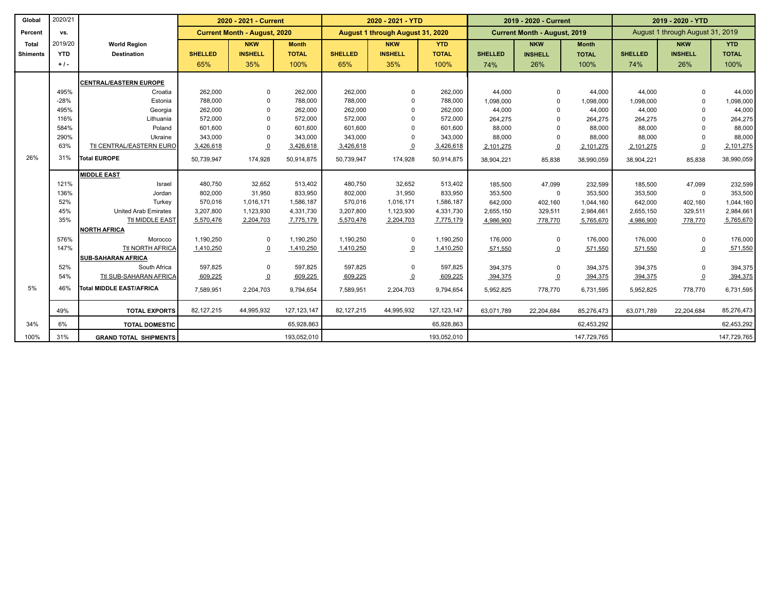| Global          | 2020/21    |                               |                | 2020 - 2021 - Current               |               |                | 2020 - 2021 - YTD                |               |                | 2019 - 2020 - Current               |              | 2019 - 2020 - YTD |                                  |              |
|-----------------|------------|-------------------------------|----------------|-------------------------------------|---------------|----------------|----------------------------------|---------------|----------------|-------------------------------------|--------------|-------------------|----------------------------------|--------------|
| Percent         | vs.        |                               |                | <b>Current Month - August, 2020</b> |               |                | August 1 through August 31, 2020 |               |                | <b>Current Month - August, 2019</b> |              |                   | August 1 through August 31, 2019 |              |
| Total           | 2019/20    | <b>World Region</b>           |                | <b>NKW</b>                          | <b>Month</b>  |                | <b>NKW</b>                       | <b>YTD</b>    |                | <b>NKW</b>                          | <b>Month</b> |                   | <b>NKW</b>                       | <b>YTD</b>   |
| <b>Shiments</b> | <b>YTD</b> | <b>Destination</b>            | <b>SHELLED</b> | <b>INSHELL</b>                      | <b>TOTAL</b>  | <b>SHELLED</b> | <b>INSHELL</b>                   | <b>TOTAL</b>  | <b>SHELLED</b> | <b>INSHELL</b>                      | <b>TOTAL</b> | <b>SHELLED</b>    | <b>INSHELL</b>                   | <b>TOTAL</b> |
|                 | $+1-$      |                               | 65%            | 35%                                 | 100%          | 65%            | 35%                              | 100%          | 74%            | 26%                                 | 100%         | 74%               | 26%                              | 100%         |
|                 |            | <b>CENTRAL/EASTERN EUROPE</b> |                |                                     |               |                |                                  |               |                |                                     |              |                   |                                  |              |
|                 | 495%       | Croatia                       | 262,000        | $\Omega$                            | 262,000       | 262,000        | $\Omega$                         | 262,000       | 44,000         | $\Omega$                            | 44,000       | 44,000            |                                  | 44,000       |
|                 | $-28%$     | Estonia                       | 788,000        | $\Omega$                            | 788,000       | 788,000        | $\Omega$                         | 788,000       | 1,098,000      | $\Omega$                            | 1,098,000    | 1,098,000         |                                  | 1,098,000    |
|                 | 495%       | Georgia                       | 262,000        | $\Omega$                            | 262,000       | 262,000        | $\Omega$                         | 262,000       | 44,000         | $\Omega$                            | 44,000       | 44,000            |                                  | 44,000       |
|                 | 116%       | Lithuania                     | 572,000        |                                     | 572,000       | 572,000        |                                  | 572,000       | 264,275        | $\Omega$                            | 264,275      | 264,275           |                                  | 264,275      |
|                 | 584%       | Poland                        | 601,600        |                                     | 601,600       | 601,600        | $\Omega$                         | 601,600       | 88,000         |                                     | 88,000       | 88,000            |                                  | 88,000       |
|                 | 290%       | Ukraine                       | 343,000        | $\Omega$                            | 343,000       | 343,000        | $\Omega$                         | 343,000       | 88,000         | $\Omega$                            | 88,000       | 88,000            |                                  | 88,000       |
|                 | 63%        | Ttl CENTRAL/EASTERN EURO      | 3,426,618      | $\overline{0}$                      | 3,426,618     | 3,426,618      | $\overline{0}$                   | 3,426,618     | 2,101,275      | $\overline{0}$                      | 2,101,275    | 2,101,275         | $\overline{0}$                   | 2,101,275    |
| 26%             | 31%        | Total EUROPE                  | 50,739,947     | 174,928                             | 50,914,875    | 50,739,947     | 174,928                          | 50,914,875    | 38,904,221     | 85,838                              | 38,990,059   | 38,904,221        | 85,838                           | 38,990,059   |
|                 |            | <b>MIDDLE EAST</b>            |                |                                     |               |                |                                  |               |                |                                     |              |                   |                                  |              |
|                 | 121%       | Israel                        | 480,750        | 32,652                              | 513,402       | 480,750        | 32,652                           | 513,402       | 185,500        | 47.099                              | 232,599      | 185,500           | 47.099                           | 232,599      |
|                 | 136%       | Jordan                        | 802,000        | 31,950                              | 833,950       | 802,000        | 31,950                           | 833,950       | 353,500        | 0                                   | 353,500      | 353,500           | $\Omega$                         | 353,500      |
|                 | 52%        | Turkey                        | 570,016        | 1,016,171                           | 1,586,187     | 570,016        | 1,016,171                        | 1,586,187     | 642,000        | 402,160                             | 1,044,160    | 642,000           | 402,160                          | 1,044,160    |
|                 | 45%        | <b>United Arab Emirates</b>   | 3,207,800      | 1,123,930                           | 4,331,730     | 3,207,800      | 1,123,930                        | 4,331,730     | 2,655,150      | 329,511                             | 2,984,661    | 2,655,150         | 329,511                          | 2,984,661    |
|                 | 35%        | Ttl MIDDLE EAST               | 5,570,476      | 2,204,703                           | 7,775,179     | 5,570,476      | 2,204,703                        | 7,775,179     | 4,986,900      | 778,770                             | 5,765,670    | 4,986,900         | 778,770                          | 5,765,670    |
|                 |            | <b>NORTH AFRICA</b>           |                |                                     |               |                |                                  |               |                |                                     |              |                   |                                  |              |
|                 | 576%       | Morocco                       | 1,190,250      | $\Omega$                            | 1,190,250     | 1,190,250      | 0                                | 1,190,250     | 176,000        | $\mathbf 0$                         | 176,000      | 176,000           | $\Omega$                         | 176,000      |
|                 | 147%       | Ttl NORTH AFRICA              | 1,410,250      | $\overline{0}$                      | 1,410,250     | 1,410,250      | $\Omega$                         | 1,410,250     | 571,550        | $\overline{0}$                      | 571,550      | 571,550           | ౨                                | 571,550      |
|                 |            | <b>SUB-SAHARAN AFRICA</b>     |                |                                     |               |                |                                  |               |                |                                     |              |                   |                                  |              |
|                 | 52%        | South Africa                  | 597,825        | $\Omega$                            | 597,825       | 597,825        | $\Omega$                         | 597,825       | 394,375        | $\Omega$                            | 394,375      | 394,375           | $\Omega$                         | 394,375      |
|                 | 54%        | Ttl SUB-SAHARAN AFRICA        | 609,225        | $\overline{0}$                      | 609,225       | 609,225        | $\Omega$                         | 609,225       | 394,375        | $\Omega$                            | 394,375      | 394,375           | $\overline{0}$                   | 394,375      |
| 5%              | 46%        | Total MIDDLE EAST/AFRICA      | 7,589,951      | 2,204,703                           | 9,794,654     | 7,589,951      | 2,204,703                        | 9,794,654     | 5,952,825      | 778,770                             | 6,731,595    | 5,952,825         | 778,770                          | 6,731,595    |
|                 | 49%        | <b>TOTAL EXPORTS</b>          | 82,127,215     | 44,995,932                          | 127, 123, 147 | 82,127,215     | 44,995,932                       | 127, 123, 147 | 63,071,789     | 22,204,684                          | 85,276,473   | 63,071,789        | 22,204,684                       | 85,276,473   |
| 34%             | 6%         | <b>TOTAL DOMESTIC</b>         |                |                                     | 65,928,863    |                |                                  | 65,928,863    |                |                                     | 62,453,292   |                   |                                  | 62,453,292   |
| 100%            | 31%        | <b>GRAND TOTAL SHIPMENTS</b>  |                |                                     | 193,052,010   |                |                                  | 193,052,010   |                |                                     | 147,729,765  |                   |                                  | 147,729,765  |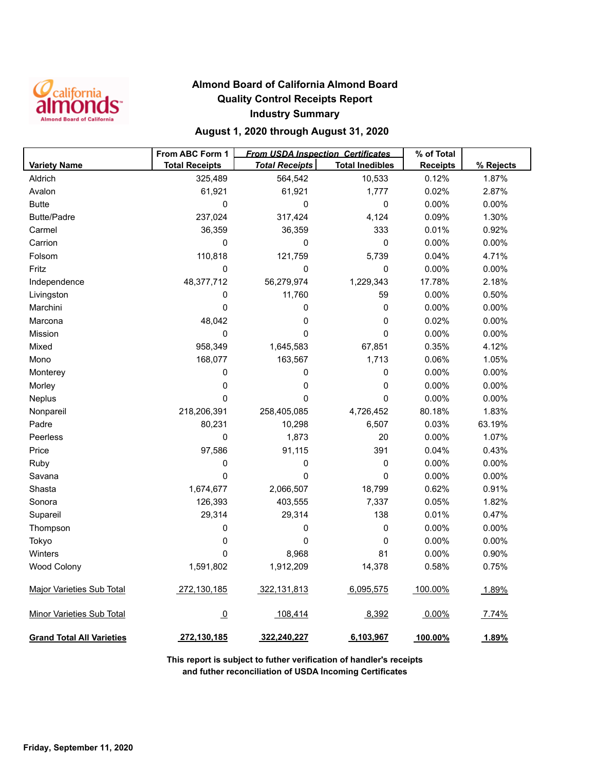

### **Almond Board of California Almond Board Quality Control Receipts Report Industry Summary**

### **August 1, 2020 through August 31, 2020**

|                                  | From ABC Form 1       | <b>From USDA Inspection Certificates</b> |                        | % of Total      |           |
|----------------------------------|-----------------------|------------------------------------------|------------------------|-----------------|-----------|
| <b>Variety Name</b>              | <b>Total Receipts</b> | <b>Total Receipts</b>                    | <b>Total Inedibles</b> | <b>Receipts</b> | % Rejects |
| Aldrich                          | 325,489               | 564,542                                  | 10,533                 | 0.12%           | 1.87%     |
| Avalon                           | 61,921                | 61,921                                   | 1,777                  | 0.02%           | 2.87%     |
| <b>Butte</b>                     | 0                     | 0                                        | $\pmb{0}$              | 0.00%           | 0.00%     |
| <b>Butte/Padre</b>               | 237,024               | 317,424                                  | 4,124                  | 0.09%           | 1.30%     |
| Carmel                           | 36,359                | 36,359                                   | 333                    | 0.01%           | 0.92%     |
| Carrion                          | 0                     | 0                                        | 0                      | 0.00%           | 0.00%     |
| Folsom                           | 110,818               | 121,759                                  | 5,739                  | 0.04%           | 4.71%     |
| Fritz                            | 0                     | 0                                        | 0                      | 0.00%           | 0.00%     |
| Independence                     | 48,377,712            | 56,279,974                               | 1,229,343              | 17.78%          | 2.18%     |
| Livingston                       | 0                     | 11,760                                   | 59                     | 0.00%           | 0.50%     |
| Marchini                         | 0                     | 0                                        | $\pmb{0}$              | 0.00%           | 0.00%     |
| Marcona                          | 48,042                | $\mathbf 0$                              | $\pmb{0}$              | 0.02%           | 0.00%     |
| Mission                          | 0                     | $\mathbf 0$                              | $\pmb{0}$              | 0.00%           | 0.00%     |
| Mixed                            | 958,349               | 1,645,583                                | 67,851                 | 0.35%           | 4.12%     |
| Mono                             | 168,077               | 163,567                                  | 1,713                  | 0.06%           | 1.05%     |
| Monterey                         | 0                     | 0                                        | $\pmb{0}$              | 0.00%           | 0.00%     |
| Morley                           | 0                     | $\mathbf 0$                              | $\pmb{0}$              | 0.00%           | 0.00%     |
| Neplus                           | 0                     | 0                                        | $\mathbf 0$            | 0.00%           | 0.00%     |
| Nonpareil                        | 218,206,391           | 258,405,085                              | 4,726,452              | 80.18%          | 1.83%     |
| Padre                            | 80,231                | 10,298                                   | 6,507                  | 0.03%           | 63.19%    |
| Peerless                         | 0                     | 1,873                                    | 20                     | 0.00%           | 1.07%     |
| Price                            | 97,586                | 91,115                                   | 391                    | 0.04%           | 0.43%     |
| Ruby                             | 0                     | 0                                        | 0                      | 0.00%           | 0.00%     |
| Savana                           | 0                     | 0                                        | 0                      | 0.00%           | 0.00%     |
| Shasta                           | 1,674,677             | 2,066,507                                | 18,799                 | 0.62%           | 0.91%     |
| Sonora                           | 126,393               | 403,555                                  | 7,337                  | 0.05%           | 1.82%     |
| Supareil                         | 29,314                | 29,314                                   | 138                    | 0.01%           | 0.47%     |
| Thompson                         | 0                     | 0                                        | $\pmb{0}$              | 0.00%           | 0.00%     |
| Tokyo                            | 0                     | 0                                        | 0                      | 0.00%           | 0.00%     |
| Winters                          | 0                     | 8,968                                    | 81                     | 0.00%           | 0.90%     |
| <b>Wood Colony</b>               | 1,591,802             | 1,912,209                                | 14,378                 | 0.58%           | 0.75%     |
| <b>Major Varieties Sub Total</b> | 272,130,185           | 322,131,813                              | 6,095,575              | 100.00%         | 1.89%     |
| <b>Minor Varieties Sub Total</b> | $\overline{0}$        | 108,414                                  | 8,392                  | 0.00%           | 7.74%     |
| <b>Grand Total All Varieties</b> | 272,130,185           | 322,240,227                              | 6,103,967              | 100.00%         | 1.89%     |

**This report is subject to futher verification of handler's receipts and futher reconciliation of USDA Incoming Certificates**